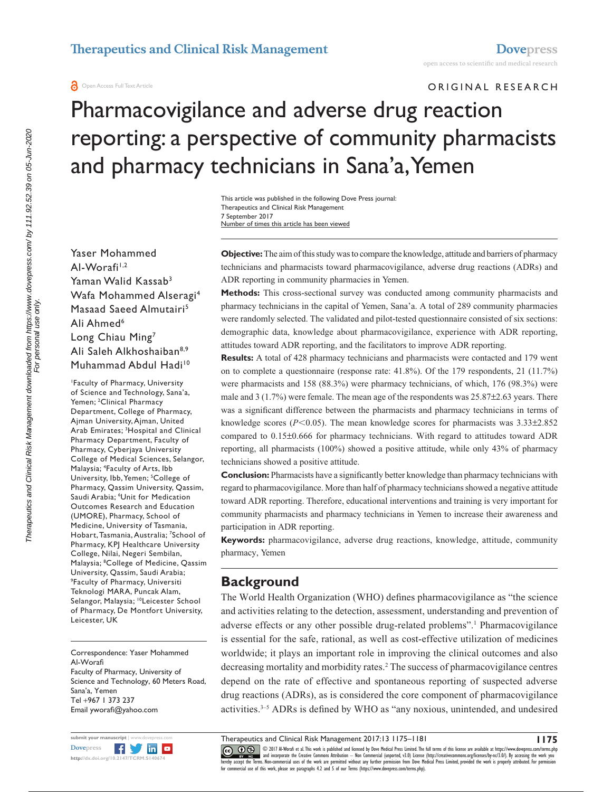**a** Open Access Full Text Article

ORIGINAL RESEARCH

# Pharmacovigilance and adverse drug reaction reporting: a perspective of community pharmacists and pharmacy technicians in Sana'a, Yemen

Number of times this article has been viewed This article was published in the following Dove Press journal: Therapeutics and Clinical Risk Management 7 September 2017

Yaser Mohammed Al-Worafi<sup>1,2</sup> Yaman Walid Kassab<sup>3</sup> Wafa Mohammed Alseragi4 Masaad Saeed Almutairi5 Ali Ahmed<sup>6</sup> Long Chiau Ming7 Ali Saleh Alkhoshaiban<sup>8,9</sup> Muhammad Abdul Hadi<sup>10</sup>

1 Faculty of Pharmacy, University of Science and Technology, Sana'a, Yemen; 2 Clinical Pharmacy Department, College of Pharmacy, Ajman University, Ajman, United Arab Emirates; <sup>3</sup>Hospital and Clinical Pharmacy Department, Faculty of Pharmacy, Cyberjaya University College of Medical Sciences, Selangor, Malaysia; 4 Faculty of Arts, Ibb University, Ibb, Yemen; <sup>5</sup>College of Pharmacy, Qassim University, Qassim, Saudi Arabia; 6 Unit for Medication Outcomes Research and Education (UMORE), Pharmacy, School of Medicine, University of Tasmania, Hobart, Tasmania, Australia; 7 School of Pharmacy, KPJ Healthcare University College, Nilai, Negeri Sembilan, Malaysia; 8 College of Medicine, Qassim University, Qassim, Saudi Arabia; 9 Faculty of Pharmacy, Universiti Teknologi MARA, Puncak Alam, Selangor, Malaysia; <sup>10</sup>Leicester School of Pharmacy, De Montfort University, Leicester, UK

Correspondence: Yaser Mohammed Al-Worafi Faculty of Pharmacy, University of Science and Technology, 60 Meters Road, Sana'a, Yemen Tel +967 1 373 237 Email [yworafi@yahoo.co](mailto:yworafi@yahoo.com)m



**Objective:** The aim of this study was to compare the knowledge, attitude and barriers of pharmacy technicians and pharmacists toward pharmacovigilance, adverse drug reactions (ADRs) and ADR reporting in community pharmacies in Yemen.

**Methods:** This cross-sectional survey was conducted among community pharmacists and pharmacy technicians in the capital of Yemen, Sana'a. A total of 289 community pharmacies were randomly selected. The validated and pilot-tested questionnaire consisted of six sections: demographic data, knowledge about pharmacovigilance, experience with ADR reporting, attitudes toward ADR reporting, and the facilitators to improve ADR reporting.

**Results:** A total of 428 pharmacy technicians and pharmacists were contacted and 179 went on to complete a questionnaire (response rate: 41.8%). Of the 179 respondents, 21 (11.7%) were pharmacists and 158 (88.3%) were pharmacy technicians, of which, 176 (98.3%) were male and 3 (1.7%) were female. The mean age of the respondents was 25.87±2.63 years. There was a significant difference between the pharmacists and pharmacy technicians in terms of knowledge scores ( $P$ <0.05). The mean knowledge scores for pharmacists was  $3.33\pm2.852$ compared to 0.15±0.666 for pharmacy technicians. With regard to attitudes toward ADR reporting, all pharmacists (100%) showed a positive attitude, while only 43% of pharmacy technicians showed a positive attitude.

**Conclusion:** Pharmacists have a significantly better knowledge than pharmacy technicians with regard to pharmacovigilance. More than half of pharmacy technicians showed a negative attitude toward ADR reporting. Therefore, educational interventions and training is very important for community pharmacists and pharmacy technicians in Yemen to increase their awareness and participation in ADR reporting.

**Keywords:** pharmacovigilance, adverse drug reactions, knowledge, attitude, community pharmacy, Yemen

# **Background**

The World Health Organization (WHO) defines pharmacovigilance as "the science and activities relating to the detection, assessment, understanding and prevention of adverse effects or any other possible drug-related problems".<sup>1</sup> Pharmacovigilance is essential for the safe, rational, as well as cost-effective utilization of medicines worldwide; it plays an important role in improving the clinical outcomes and also decreasing mortality and morbidity rates.2 The success of pharmacovigilance centres depend on the rate of effective and spontaneous reporting of suspected adverse drug reactions (ADRs), as is considered the core component of pharmacovigilance activities.3–5 ADRs is defined by WHO as "any noxious, unintended, and undesired

Therapeutics and Clinical Risk Management 2017:13 1175–1181

CCC 1 © 2017 Al-Worafi et al. This work is published and licensed by Dove Medical Press Limited. The full terms of this license are available at <https://www.dovepress.com/terms.php><br>[hereby accept the Terms](http://www.dovepress.com/permissions.php). Non-commercial u

**<sup>1175</sup>**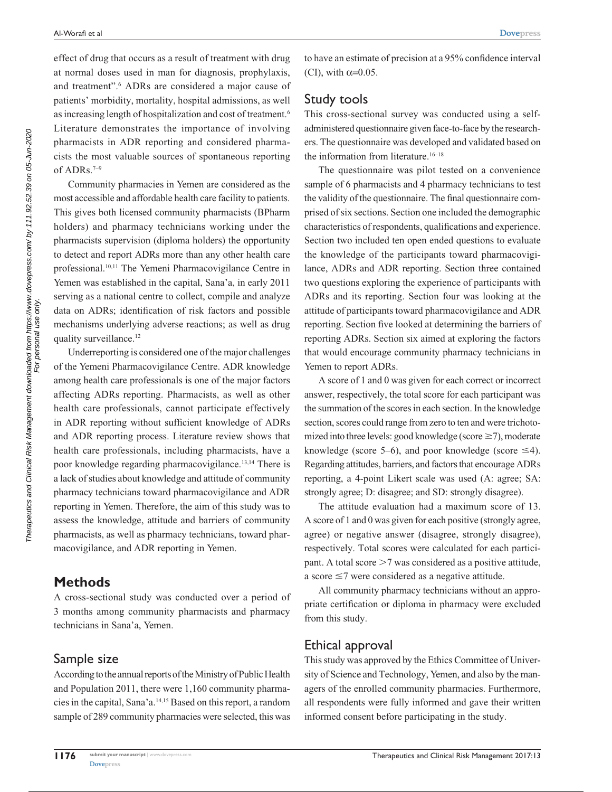effect of drug that occurs as a result of treatment with drug at normal doses used in man for diagnosis, prophylaxis, and treatment".<sup>6</sup> ADRs are considered a major cause of patients' morbidity, mortality, hospital admissions, as well as increasing length of hospitalization and cost of treatment.<sup>6</sup> Literature demonstrates the importance of involving pharmacists in ADR reporting and considered pharmacists the most valuable sources of spontaneous reporting of ADRs.<sup>7-9</sup>

Community pharmacies in Yemen are considered as the most accessible and affordable health care facility to patients. This gives both licensed community pharmacists (BPharm holders) and pharmacy technicians working under the pharmacists supervision (diploma holders) the opportunity to detect and report ADRs more than any other health care professional.10,11 The Yemeni Pharmacovigilance Centre in Yemen was established in the capital, Sana'a, in early 2011 serving as a national centre to collect, compile and analyze data on ADRs; identification of risk factors and possible mechanisms underlying adverse reactions; as well as drug quality surveillance.<sup>12</sup>

Underreporting is considered one of the major challenges of the Yemeni Pharmacovigilance Centre. ADR knowledge among health care professionals is one of the major factors affecting ADRs reporting. Pharmacists, as well as other health care professionals, cannot participate effectively in ADR reporting without sufficient knowledge of ADRs and ADR reporting process. Literature review shows that health care professionals, including pharmacists, have a poor knowledge regarding pharmacovigilance.13,14 There is a lack of studies about knowledge and attitude of community pharmacy technicians toward pharmacovigilance and ADR reporting in Yemen. Therefore, the aim of this study was to assess the knowledge, attitude and barriers of community pharmacists, as well as pharmacy technicians, toward pharmacovigilance, and ADR reporting in Yemen.

#### **Methods**

A cross-sectional study was conducted over a period of 3 months among community pharmacists and pharmacy technicians in Sana'a, Yemen.

#### Sample size

According to the annual reports of the Ministry of Public Health and Population 2011, there were 1,160 community pharmacies in the capital, Sana'a.14,15 Based on this report, a random sample of 289 community pharmacies were selected, this was to have an estimate of precision at a 95% confidence interval (CI), with  $\alpha=0.05$ .

#### Study tools

This cross-sectional survey was conducted using a selfadministered questionnaire given face-to-face by the researchers. The questionnaire was developed and validated based on the information from literature. $16-18$ 

The questionnaire was pilot tested on a convenience sample of 6 pharmacists and 4 pharmacy technicians to test the validity of the questionnaire. The final questionnaire comprised of six sections. Section one included the demographic characteristics of respondents, qualifications and experience. Section two included ten open ended questions to evaluate the knowledge of the participants toward pharmacovigilance, ADRs and ADR reporting. Section three contained two questions exploring the experience of participants with ADRs and its reporting. Section four was looking at the attitude of participants toward pharmacovigilance and ADR reporting. Section five looked at determining the barriers of reporting ADRs. Section six aimed at exploring the factors that would encourage community pharmacy technicians in Yemen to report ADRs.

A score of 1 and 0 was given for each correct or incorrect answer, respectively, the total score for each participant was the summation of the scores in each section. In the knowledge section, scores could range from zero to ten and were trichotomized into three levels: good knowledge (score  $\geq$ 7), moderate knowledge (score 5–6), and poor knowledge (score  $\leq 4$ ). Regarding attitudes, barriers, and factors that encourage ADRs reporting, a 4-point Likert scale was used (A: agree; SA: strongly agree; D: disagree; and SD: strongly disagree).

The attitude evaluation had a maximum score of 13. A score of 1 and 0 was given for each positive (strongly agree, agree) or negative answer (disagree, strongly disagree), respectively. Total scores were calculated for each participant. A total score  $>7$  was considered as a positive attitude, a score  $\leq$ 7 were considered as a negative attitude.

All community pharmacy technicians without an appropriate certification or diploma in pharmacy were excluded from this study.

#### Ethical approval

This study was approved by the Ethics Committee of University of Science and Technology, Yemen, and also by the managers of the enrolled community pharmacies. Furthermore, all respondents were fully informed and gave their written informed consent before participating in the study.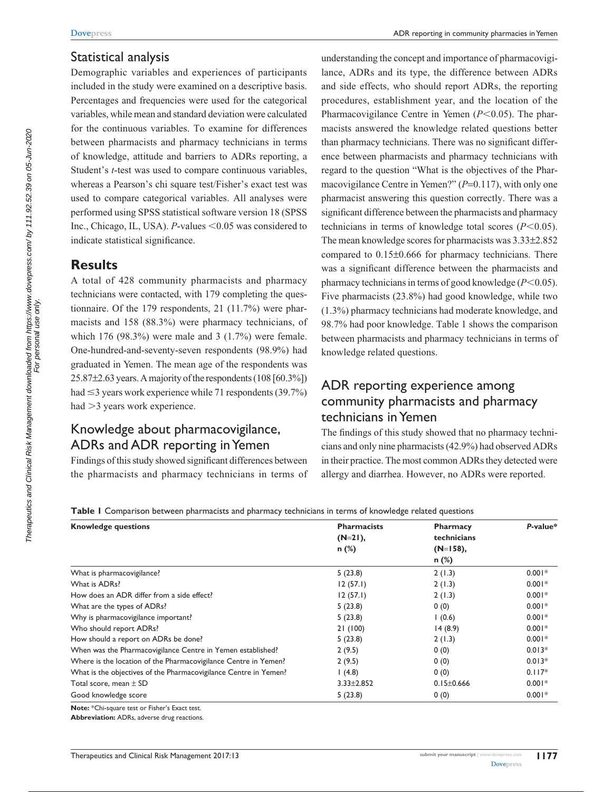#### Statistical analysis

Demographic variables and experiences of participants included in the study were examined on a descriptive basis. Percentages and frequencies were used for the categorical variables, while mean and standard deviation were calculated for the continuous variables. To examine for differences between pharmacists and pharmacy technicians in terms of knowledge, attitude and barriers to ADRs reporting, a Student's *t*-test was used to compare continuous variables, whereas a Pearson's chi square test/Fisher's exact test was used to compare categorical variables. All analyses were performed using SPSS statistical software version 18 (SPSS Inc., Chicago, IL, USA). *P*-values <0.05 was considered to indicate statistical significance.

#### **Results**

A total of 428 community pharmacists and pharmacy technicians were contacted, with 179 completing the questionnaire. Of the 179 respondents, 21 (11.7%) were pharmacists and 158 (88.3%) were pharmacy technicians, of which 176 (98.3%) were male and 3 (1.7%) were female. One-hundred-and-seventy-seven respondents (98.9%) had graduated in Yemen. The mean age of the respondents was 25.87±2.63 years. A majority of the respondents (108 [60.3%]) had  $\leq$ 3 years work experience while 71 respondents (39.7%) had  $>3$  years work experience.

# Knowledge about pharmacovigilance, ADRs and ADR reporting in Yemen

Findings of this study showed significant differences between the pharmacists and pharmacy technicians in terms of understanding the concept and importance of pharmacovigilance, ADRs and its type, the difference between ADRs and side effects, who should report ADRs, the reporting procedures, establishment year, and the location of the Pharmacovigilance Centre in Yemen  $(P<0.05)$ . The pharmacists answered the knowledge related questions better than pharmacy technicians. There was no significant difference between pharmacists and pharmacy technicians with regard to the question "What is the objectives of the Pharmacovigilance Centre in Yemen?" (P=0.117), with only one pharmacist answering this question correctly. There was a significant difference between the pharmacists and pharmacy technicians in terms of knowledge total scores  $(P<0.05)$ . The mean knowledge scores for pharmacists was 3.33±2.852 compared to 0.15±0.666 for pharmacy technicians. There was a significant difference between the pharmacists and pharmacy technicians in terms of good knowledge  $(P<0.05)$ . Five pharmacists (23.8%) had good knowledge, while two (1.3%) pharmacy technicians had moderate knowledge, and 98.7% had poor knowledge. Table 1 shows the comparison between pharmacists and pharmacy technicians in terms of knowledge related questions.

## ADR reporting experience among community pharmacists and pharmacy technicians in Yemen

The findings of this study showed that no pharmacy technicians and only nine pharmacists (42.9%) had observed ADRs in their practice. The most common ADRs they detected were allergy and diarrhea. However, no ADRs were reported.

**Table 1** Comparison between pharmacists and pharmacy technicians in terms of knowledge related questions

| <b>Knowledge questions</b>                                       | <b>Pharmacists</b> | <b>Pharmacy</b>  | P-value* |
|------------------------------------------------------------------|--------------------|------------------|----------|
|                                                                  | $(N=21)$ ,         | technicians      |          |
|                                                                  | $n$ (%)            | $(N=158)$ ,      |          |
|                                                                  |                    | $n$ (%)          |          |
| What is pharmacovigilance?                                       | 5(23.8)            | 2(1.3)           | $0.001*$ |
| What is ADRs?                                                    | 12(57.1)           | 2(1.3)           | $0.001*$ |
| How does an ADR differ from a side effect?                       | 12(57.1)           | 2(1.3)           | $0.001*$ |
| What are the types of ADRs?                                      | 5(23.8)            | 0(0)             | $0.001*$ |
| Why is pharmacovigilance important?                              | 5(23.8)            | (0.6)            | $0.001*$ |
| Who should report ADRs?                                          | 21(100)            | 14(8.9)          | $0.001*$ |
| How should a report on ADRs be done?                             | 5(23.8)            | 2(1.3)           | $0.001*$ |
| When was the Pharmacovigilance Centre in Yemen established?      | 2(9.5)             | 0(0)             | $0.013*$ |
| Where is the location of the Pharmacovigilance Centre in Yemen?  | 2(9.5)             | 0(0)             | $0.013*$ |
| What is the objectives of the Pharmacovigilance Centre in Yemen? | (4.8)              | 0(0)             | $0.117*$ |
| Total score, mean $\pm$ SD                                       | $3.33 \pm 2.852$   | $0.15 \pm 0.666$ | $0.001*$ |
| Good knowledge score                                             | 5(23.8)            | 0(0)             | $0.001*$ |
|                                                                  |                    |                  |          |

**Note:** \*Chi-square test or Fisher's Exact test.

**Abbreviation:** ADRs, adverse drug reactions.

For personal use only.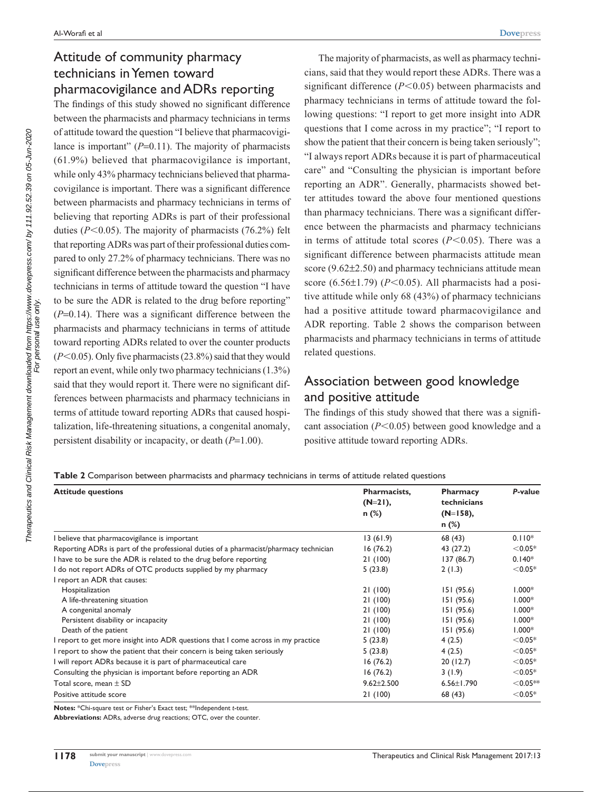### Attitude of community pharmacy technicians in Yemen toward pharmacovigilance and ADRs reporting

The findings of this study showed no significant difference between the pharmacists and pharmacy technicians in terms of attitude toward the question "I believe that pharmacovigilance is important" (*P*=0.11). The majority of pharmacists (61.9%) believed that pharmacovigilance is important, while only 43% pharmacy technicians believed that pharmacovigilance is important. There was a significant difference between pharmacists and pharmacy technicians in terms of believing that reporting ADRs is part of their professional duties ( $P$ <0.05). The majority of pharmacists (76.2%) felt that reporting ADRs was part of their professional duties compared to only 27.2% of pharmacy technicians. There was no significant difference between the pharmacists and pharmacy technicians in terms of attitude toward the question "I have to be sure the ADR is related to the drug before reporting" (*P*=0.14). There was a significant difference between the pharmacists and pharmacy technicians in terms of attitude toward reporting ADRs related to over the counter products  $(P<0.05)$ . Only five pharmacists  $(23.8\%)$  said that they would report an event, while only two pharmacy technicians (1.3%) said that they would report it. There were no significant differences between pharmacists and pharmacy technicians in terms of attitude toward reporting ADRs that caused hospitalization, life-threatening situations, a congenital anomaly, persistent disability or incapacity, or death (*P*=1.00).

The majority of pharmacists, as well as pharmacy technicians, said that they would report these ADRs. There was a significant difference  $(P<0.05)$  between pharmacists and pharmacy technicians in terms of attitude toward the following questions: "I report to get more insight into ADR questions that I come across in my practice"; "I report to show the patient that their concern is being taken seriously"; "I always report ADRs because it is part of pharmaceutical care" and "Consulting the physician is important before reporting an ADR". Generally, pharmacists showed better attitudes toward the above four mentioned questions than pharmacy technicians. There was a significant difference between the pharmacists and pharmacy technicians in terms of attitude total scores  $(P<0.05)$ . There was a significant difference between pharmacists attitude mean score (9.62 $\pm$ 2.50) and pharmacy technicians attitude mean score (6.56 $\pm$ 1.79) (*P*<0.05). All pharmacists had a positive attitude while only 68 (43%) of pharmacy technicians had a positive attitude toward pharmacovigilance and ADR reporting. Table 2 shows the comparison between pharmacists and pharmacy technicians in terms of attitude related questions.

#### Association between good knowledge and positive attitude

The findings of this study showed that there was a significant association  $(P<0.05)$  between good knowledge and a positive attitude toward reporting ADRs.

**Table 2** Comparison between pharmacists and pharmacy technicians in terms of attitude related questions

| <b>Attitude questions</b>                                                             | Pharmacists,<br>$(N=21)$ , | <b>Pharmacy</b><br>technicians | P-value    |
|---------------------------------------------------------------------------------------|----------------------------|--------------------------------|------------|
|                                                                                       | $n$ (%)                    | $(N=158)$ ,                    |            |
|                                                                                       |                            | $n$ (%)                        |            |
| I believe that pharmacovigilance is important                                         | 13(61.9)                   | 68 (43)                        | $0.110*$   |
| Reporting ADRs is part of the professional duties of a pharmacist/pharmacy technician | 16(76.2)                   | 43 (27.2)                      | $< 0.05*$  |
| I have to be sure the ADR is related to the drug before reporting                     | 21(100)                    | 137(86.7)                      | $0.140*$   |
| I do not report ADRs of OTC products supplied by my pharmacy                          | 5(23.8)                    | 2(1.3)                         | $< 0.05*$  |
| I report an ADR that causes:                                                          |                            |                                |            |
| Hospitalization                                                                       | 21(100)                    | 151(95.6)                      | $1.000*$   |
| A life-threatening situation                                                          | 21(100)                    | 151(95.6)                      | $1.000*$   |
| A congenital anomaly                                                                  | 21(100)                    | 151(95.6)                      | $1.000*$   |
| Persistent disability or incapacity                                                   | 21(100)                    | 151(95.6)                      | $1.000*$   |
| Death of the patient                                                                  | 21(100)                    | 151(95.6)                      | $1.000*$   |
| I report to get more insight into ADR questions that I come across in my practice     | 5(23.8)                    | 4(2.5)                         | $< 0.05*$  |
| I report to show the patient that their concern is being taken seriously              | 5(23.8)                    | 4(2.5)                         | $< 0.05*$  |
| I will report ADRs because it is part of pharmaceutical care                          | 16(76.2)                   | 20(12.7)                       | $< 0.05*$  |
| Consulting the physician is important before reporting an ADR                         | 16(76.2)                   | 3(1.9)                         | $< 0.05*$  |
| Total score, mean $\pm$ SD                                                            | $9.62 \pm 2.500$           | $6.56 \pm 1.790$               | $<$ 0.05** |
| Positive attitude score                                                               | 21(100)                    | 68 (43)                        | $< 0.05*$  |

**Notes:** \*Chi-square test or Fisher's Exact test; \*\*Independent *t*-test.

**Abbreviations:** ADRs, adverse drug reactions; OTC, over the counter.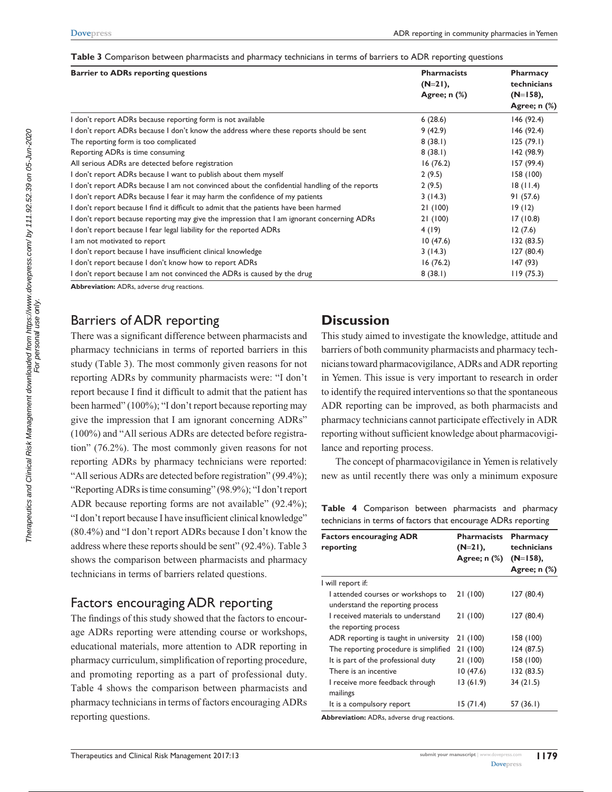**Table 3** Comparison between pharmacists and pharmacy technicians in terms of barriers to ADR reporting questions

| <b>Barrier to ADRs reporting questions</b>                                                    | <b>Pharmacists</b><br>$(N=21)$ , | Pharmacy<br>technicians<br>$(N=158)$ , |  |
|-----------------------------------------------------------------------------------------------|----------------------------------|----------------------------------------|--|
|                                                                                               | Agree; $n$ $%$                   |                                        |  |
|                                                                                               |                                  | Agree; $n$ $%$                         |  |
| I don't report ADRs because reporting form is not available                                   | 6(28.6)                          | 146(92.4)                              |  |
| I don't report ADRs because I don't know the address where these reports should be sent       | 9(42.9)                          | 146(92.4)                              |  |
| The reporting form is too complicated                                                         | 8(38.1)                          | 125(79.1)                              |  |
| Reporting ADRs is time consuming                                                              | 8(38.1)                          | 142 (98.9)                             |  |
| All serious ADRs are detected before registration                                             | 16(76.2)                         | 157 (99.4)                             |  |
| I don't report ADRs because I want to publish about them myself                               | 2(9.5)                           | 158(100)                               |  |
| I don't report ADRs because I am not convinced about the confidential handling of the reports | 2(9.5)                           | 18(11.4)                               |  |
| I don't report ADRs because I fear it may harm the confidence of my patients                  | 3(14.3)                          | 91(57.6)                               |  |
| I don't report because I find it difficult to admit that the patients have been harmed        | 21(100)                          | 19(12)                                 |  |
| I don't report because reporting may give the impression that I am ignorant concerning ADRs   | 21(100)                          | 17(10.8)                               |  |
| I don't report because I fear legal liability for the reported ADRs                           | 4(19)                            | 12(7.6)                                |  |
| I am not motivated to report                                                                  | 10(47.6)                         | 132(83.5)                              |  |
| I don't report because I have insufficient clinical knowledge                                 | 3(14.3)                          | 127(80.4)                              |  |
| I don't report because I don't know how to report ADRs                                        | 16(76.2)                         | 147 (93)                               |  |
| I don't report because I am not convinced the ADRs is caused by the drug                      | 8(38.1)                          | 119(75.3)                              |  |

Barriers of ADR reporting

There was a significant difference between pharmacists and pharmacy technicians in terms of reported barriers in this study (Table 3). The most commonly given reasons for not reporting ADRs by community pharmacists were: "I don't report because I find it difficult to admit that the patient has been harmed" (100%); "I don't report because reporting may give the impression that I am ignorant concerning ADRs" (100%) and "All serious ADRs are detected before registration" (76.2%). The most commonly given reasons for not reporting ADRs by pharmacy technicians were reported: "All serious ADRs are detected before registration" (99.4%); "Reporting ADRs is time consuming" (98.9%); "I don't report ADR because reporting forms are not available" (92.4%); "I don't report because I have insufficient clinical knowledge" (80.4%) and "I don't report ADRs because I don't know the address where these reports should be sent" (92.4%). Table 3 shows the comparison between pharmacists and pharmacy technicians in terms of barriers related questions.

#### Factors encouraging ADR reporting

The findings of this study showed that the factors to encourage ADRs reporting were attending course or workshops, educational materials, more attention to ADR reporting in pharmacy curriculum, simplification of reporting procedure, and promoting reporting as a part of professional duty. Table 4 shows the comparison between pharmacists and pharmacy technicians in terms of factors encouraging ADRs reporting questions.

## **Discussion**

This study aimed to investigate the knowledge, attitude and barriers of both community pharmacists and pharmacy technicians toward pharmacovigilance, ADRs and ADR reporting in Yemen. This issue is very important to research in order to identify the required interventions so that the spontaneous ADR reporting can be improved, as both pharmacists and pharmacy technicians cannot participate effectively in ADR reporting without sufficient knowledge about pharmacovigilance and reporting process.

The concept of pharmacovigilance in Yemen is relatively new as until recently there was only a minimum exposure

**Table 4** Comparison between pharmacists and pharmacy technicians in terms of factors that encourage ADRs reporting

| <b>Factors encouraging ADR</b><br>reporting                            | <b>Pharmacists</b><br>$(N=21)$ ,<br>Agree; $n$ $%$ ) | Pharmacy<br>technicians<br>$(N=158)$ ,<br>Agree; $n$ $%$ |
|------------------------------------------------------------------------|------------------------------------------------------|----------------------------------------------------------|
| I will report if:                                                      |                                                      |                                                          |
| I attended courses or workshops to<br>understand the reporting process | 21(100)                                              | 127 (80.4)                                               |
| I received materials to understand<br>the reporting process            | 21(100)                                              | 127(80.4)                                                |
| ADR reporting is taught in university                                  | 21 (100)                                             | 158 (100)                                                |
| The reporting procedure is simplified                                  | 21(100)                                              | 124 (87.5)                                               |
| It is part of the professional duty                                    | 21(100)                                              | 158 (100)                                                |
| There is an incentive                                                  | 10(47.6)                                             | 132 (83.5)                                               |
| I receive more feedback through<br>mailings                            | 13(61.9)                                             | 34(21.5)                                                 |
| It is a compulsory report                                              | 15 (71.4)                                            | 57 (36.1)                                                |

**Abbreviation:** ADRs, adverse drug reactions.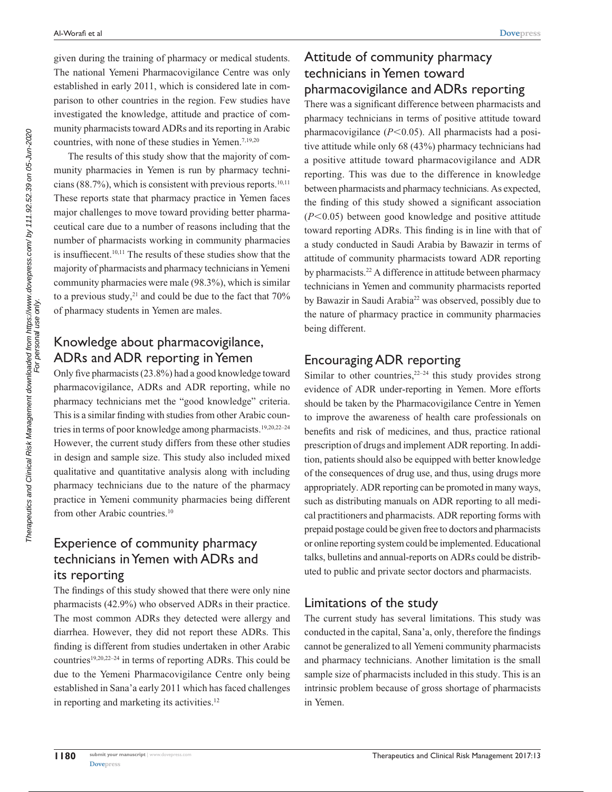given during the training of pharmacy or medical students. The national Yemeni Pharmacovigilance Centre was only established in early 2011, which is considered late in comparison to other countries in the region. Few studies have investigated the knowledge, attitude and practice of community pharmacists toward ADRs and its reporting in Arabic countries, with none of these studies in Yemen.<sup>7,19,20</sup>

The results of this study show that the majority of community pharmacies in Yemen is run by pharmacy technicians (88.7%), which is consistent with previous reports. $10,11$ These reports state that pharmacy practice in Yemen faces major challenges to move toward providing better pharmaceutical care due to a number of reasons including that the number of pharmacists working in community pharmacies is insuffiecent.<sup>10,11</sup> The results of these studies show that the majority of pharmacists and pharmacy technicians in Yemeni community pharmacies were male (98.3%), which is similar to a previous study, $21$  and could be due to the fact that  $70\%$ of pharmacy students in Yemen are males.

## Knowledge about pharmacovigilance, ADRs and ADR reporting in Yemen

Only five pharmacists (23.8%) had a good knowledge toward pharmacovigilance, ADRs and ADR reporting, while no pharmacy technicians met the "good knowledge" criteria. This is a similar finding with studies from other Arabic countries in terms of poor knowledge among pharmacists.<sup>19,20,22-24</sup> However, the current study differs from these other studies in design and sample size. This study also included mixed qualitative and quantitative analysis along with including pharmacy technicians due to the nature of the pharmacy practice in Yemeni community pharmacies being different from other Arabic countries.<sup>10</sup>

## Experience of community pharmacy technicians in Yemen with ADRs and its reporting

The findings of this study showed that there were only nine pharmacists (42.9%) who observed ADRs in their practice. The most common ADRs they detected were allergy and diarrhea. However, they did not report these ADRs. This finding is different from studies undertaken in other Arabic countries19,20,22–24 in terms of reporting ADRs. This could be due to the Yemeni Pharmacovigilance Centre only being established in Sana'a early 2011 which has faced challenges in reporting and marketing its activities.<sup>12</sup>

## Attitude of community pharmacy technicians in Yemen toward pharmacovigilance and ADRs reporting

There was a significant difference between pharmacists and pharmacy technicians in terms of positive attitude toward pharmacovigilance  $(P<0.05)$ . All pharmacists had a positive attitude while only 68 (43%) pharmacy technicians had a positive attitude toward pharmacovigilance and ADR reporting. This was due to the difference in knowledge between pharmacists and pharmacy technicians. As expected, the finding of this study showed a significant association  $(P<0.05)$  between good knowledge and positive attitude toward reporting ADRs. This finding is in line with that of a study conducted in Saudi Arabia by Bawazir in terms of attitude of community pharmacists toward ADR reporting by pharmacists.<sup>22</sup> A difference in attitude between pharmacy technicians in Yemen and community pharmacists reported by Bawazir in Saudi Arabia<sup>22</sup> was observed, possibly due to the nature of pharmacy practice in community pharmacies being different.

#### Encouraging ADR reporting

Similar to other countries,  $2^{2-24}$  this study provides strong evidence of ADR under-reporting in Yemen. More efforts should be taken by the Pharmacovigilance Centre in Yemen to improve the awareness of health care professionals on benefits and risk of medicines, and thus, practice rational prescription of drugs and implement ADR reporting. In addition, patients should also be equipped with better knowledge of the consequences of drug use, and thus, using drugs more appropriately. ADR reporting can be promoted in many ways, such as distributing manuals on ADR reporting to all medical practitioners and pharmacists. ADR reporting forms with prepaid postage could be given free to doctors and pharmacists or online reporting system could be implemented. Educational talks, bulletins and annual-reports on ADRs could be distributed to public and private sector doctors and pharmacists.

#### Limitations of the study

The current study has several limitations. This study was conducted in the capital, Sana'a, only, therefore the findings cannot be generalized to all Yemeni community pharmacists and pharmacy technicians. Another limitation is the small sample size of pharmacists included in this study. This is an intrinsic problem because of gross shortage of pharmacists in Yemen.